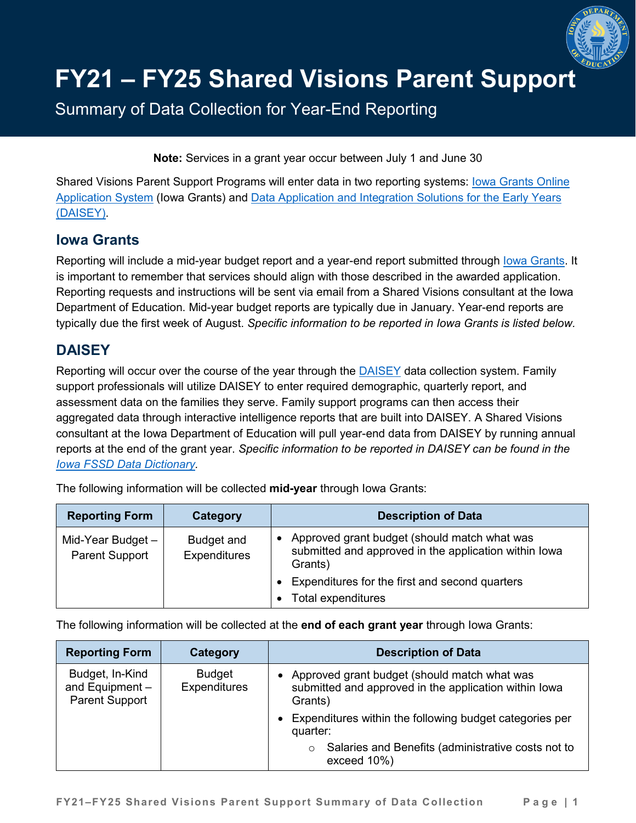

## **FY21 – FY25 Shared Visions Parent Support**

Summary of Data Collection for Year-End Reporting

**Note:** Services in a grant year occur between July 1 and June 30

Shared Visions Parent Support Programs will enter data in two reporting systems: lowa Grants Online [Application System](http://www.iowagrants.gov/) (Iowa Grants) and [Data Application and Integration Solutions for the Early Years](https://daiseyiowa.daiseysolutions.org/)  [\(DAISEY\).](https://daiseyiowa.daiseysolutions.org/)

## **Iowa Grants**

Reporting will include a mid-year budget report and a year-end report submitted through lowa Grants. It is important to remember that services should align with those described in the awarded application. Reporting requests and instructions will be sent via email from a Shared Visions consultant at the Iowa Department of Education. Mid-year budget reports are typically due in January. Year-end reports are typically due the first week of August. *Specific information to be reported in Iowa Grants is listed below.*

## **DAISEY**

Reporting will occur over the course of the year through the **DAISEY** data collection system. Family support professionals will utilize DAISEY to enter required demographic, quarterly report, and assessment data on the families they serve. Family support programs can then access their aggregated data through interactive intelligence reports that are built into DAISEY. A Shared Visions consultant at the Iowa Department of Education will pull year-end data from DAISEY by running annual reports at the end of the grant year. *Specific information to be reported in DAISEY can be found in the [Iowa FSSD Data Dictionary.](https://daiseyiowa.daiseysolutions.org/articles/iowa-data-dictionary/)*

The following information will be collected **mid-year** through Iowa Grants:

| <b>Reporting Form</b>                      | Category                          | <b>Description of Data</b>                                                                                                    |
|--------------------------------------------|-----------------------------------|-------------------------------------------------------------------------------------------------------------------------------|
| Mid-Year Budget -<br><b>Parent Support</b> | Budget and<br><b>Expenditures</b> | Approved grant budget (should match what was<br>$\bullet$<br>submitted and approved in the application within lowa<br>Grants) |
|                                            |                                   | • Expenditures for the first and second quarters                                                                              |
|                                            |                                   | <b>Total expenditures</b>                                                                                                     |

The following information will be collected at the **end of each grant year** through Iowa Grants:

| <b>Reporting Form</b>                                         | Category                             | <b>Description of Data</b>                                                                                                    |
|---------------------------------------------------------------|--------------------------------------|-------------------------------------------------------------------------------------------------------------------------------|
| Budget, In-Kind<br>and Equipment $-$<br><b>Parent Support</b> | <b>Budget</b><br><b>Expenditures</b> | Approved grant budget (should match what was<br>$\bullet$<br>submitted and approved in the application within lowa<br>Grants) |
|                                                               |                                      | Expenditures within the following budget categories per<br>$\bullet$<br>quarter:                                              |
|                                                               |                                      | Salaries and Benefits (administrative costs not to<br>$\circ$<br>exceed 10%)                                                  |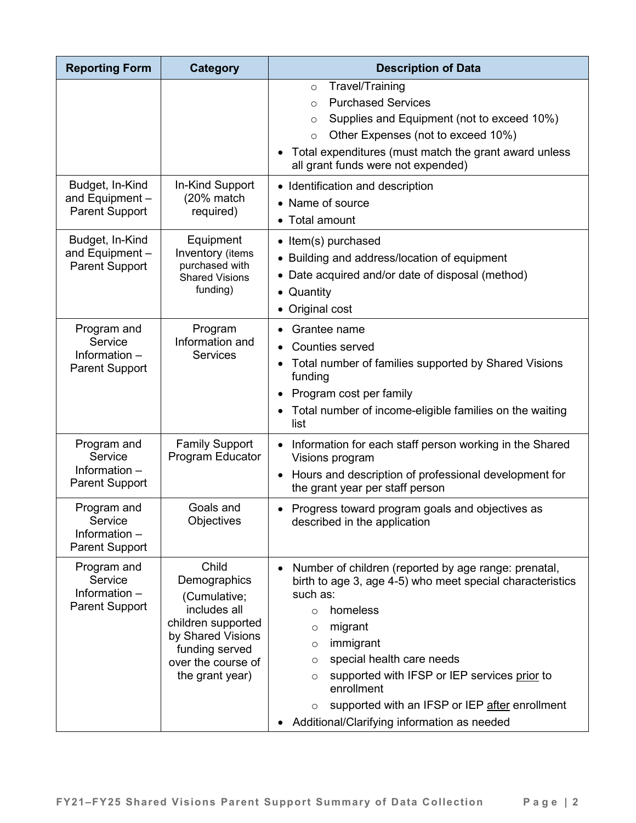| <b>Reporting Form</b>                                            | <b>Category</b>                                                                                                                                             | <b>Description of Data</b>                                                                                                                                                                                                                                                                                                                                                                                                                   |
|------------------------------------------------------------------|-------------------------------------------------------------------------------------------------------------------------------------------------------------|----------------------------------------------------------------------------------------------------------------------------------------------------------------------------------------------------------------------------------------------------------------------------------------------------------------------------------------------------------------------------------------------------------------------------------------------|
|                                                                  |                                                                                                                                                             | Travel/Training<br>$\circ$<br><b>Purchased Services</b><br>$\circ$<br>Supplies and Equipment (not to exceed 10%)<br>$\circ$<br>Other Expenses (not to exceed 10%)<br>$\circ$<br>Total expenditures (must match the grant award unless<br>all grant funds were not expended)                                                                                                                                                                  |
| Budget, In-Kind<br>and Equipment -<br><b>Parent Support</b>      | In-Kind Support<br>(20% match<br>required)                                                                                                                  | • Identification and description<br>• Name of source<br>Total amount<br>$\bullet$                                                                                                                                                                                                                                                                                                                                                            |
| Budget, In-Kind<br>and Equipment -<br><b>Parent Support</b>      | Equipment<br>Inventory (items<br>purchased with<br><b>Shared Visions</b><br>funding)                                                                        | • Item(s) purchased<br>• Building and address/location of equipment<br>• Date acquired and/or date of disposal (method)<br>Quantity<br>$\bullet$<br>• Original cost                                                                                                                                                                                                                                                                          |
| Program and<br>Service<br>Information -<br><b>Parent Support</b> | Program<br>Information and<br><b>Services</b>                                                                                                               | Grantee name<br><b>Counties served</b><br>Total number of families supported by Shared Visions<br>funding<br>Program cost per family<br>$\bullet$<br>Total number of income-eligible families on the waiting<br>list                                                                                                                                                                                                                         |
| Program and<br>Service<br>Information -<br><b>Parent Support</b> | <b>Family Support</b><br>Program Educator                                                                                                                   | Information for each staff person working in the Shared<br>$\bullet$<br>Visions program<br>Hours and description of professional development for<br>$\bullet$<br>the grant year per staff person                                                                                                                                                                                                                                             |
| Program and<br>Service<br>Information -<br><b>Parent Support</b> | Goals and<br>Objectives                                                                                                                                     | Progress toward program goals and objectives as<br>٠<br>described in the application                                                                                                                                                                                                                                                                                                                                                         |
| Program and<br>Service<br>Information -<br><b>Parent Support</b> | Child<br>Demographics<br>(Cumulative;<br>includes all<br>children supported<br>by Shared Visions<br>funding served<br>over the course of<br>the grant year) | Number of children (reported by age range: prenatal,<br>$\bullet$<br>birth to age 3, age 4-5) who meet special characteristics<br>such as:<br>homeless<br>$\circ$<br>migrant<br>$\circ$<br>immigrant<br>$\circ$<br>special health care needs<br>$\circ$<br>supported with IFSP or IEP services prior to<br>$\circ$<br>enrollment<br>supported with an IFSP or IEP after enrollment<br>$\circ$<br>Additional/Clarifying information as needed |